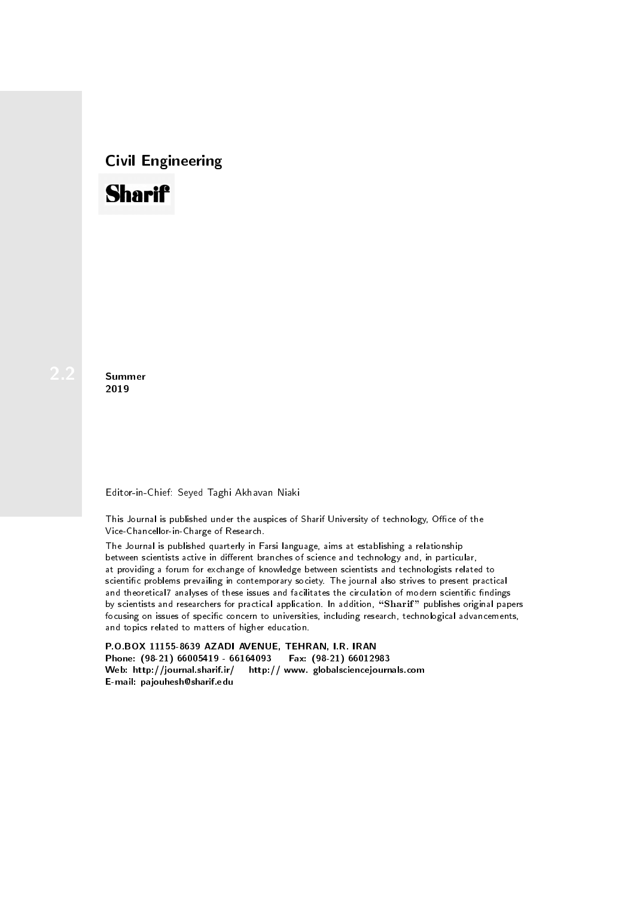## Civil Engineering



**Summer** 2019

## Editor-in-Chief: Seyed Taghi Akhavan Niaki

This Journal is published under the auspices of Sharif University of technology, Office of the Vice-Chancellor-in-Charge of Research.

The Journal is published quarterly in Farsi language, aims at establishing a relationship between scientists active in different branches of science and technology and, in particular, at providing a forum for exchange of knowledge between scientists and technologists related to scientic problems prevailing in contemporary society. The journal also strives to present practical and theoretical7 analyses of these issues and facilitates the circulation of modern scientific findings by scientists and researchers for practical application. In addition, "Sharif" publishes original papers focusing on issues of specific concern to universities, including research, technological advancements, and topics related to matters of higher education.

P.O.BOX 11155-8639 AZADI AVENUE, TEHRAN, I.R. IRAN Phone: (98-21) 66005419 - 66164093 Fax: (98-21) 66012983 Web: http://journal.sharif.ir/ http:// www. globalsciencejournals.com E-mail: pajouhesh@sharif.edu